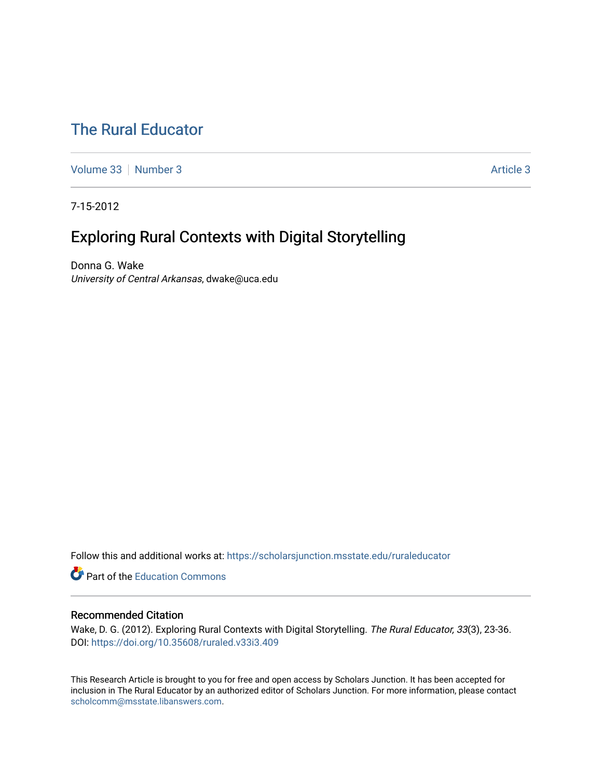# [The Rural Educator](https://scholarsjunction.msstate.edu/ruraleducator)

[Volume 33](https://scholarsjunction.msstate.edu/ruraleducator/vol33) [Number 3](https://scholarsjunction.msstate.edu/ruraleducator/vol33/iss3) Article 3

7-15-2012

# Exploring Rural Contexts with Digital Storytelling

Donna G. Wake University of Central Arkansas, dwake@uca.edu

Follow this and additional works at: [https://scholarsjunction.msstate.edu/ruraleducator](https://scholarsjunction.msstate.edu/ruraleducator?utm_source=scholarsjunction.msstate.edu%2Fruraleducator%2Fvol33%2Fiss3%2F3&utm_medium=PDF&utm_campaign=PDFCoverPages)

**C** Part of the [Education Commons](http://network.bepress.com/hgg/discipline/784?utm_source=scholarsjunction.msstate.edu%2Fruraleducator%2Fvol33%2Fiss3%2F3&utm_medium=PDF&utm_campaign=PDFCoverPages)

## Recommended Citation

Wake, D. G. (2012). Exploring Rural Contexts with Digital Storytelling. The Rural Educator, 33(3), 23-36. DOI:<https://doi.org/10.35608/ruraled.v33i3.409>

This Research Article is brought to you for free and open access by Scholars Junction. It has been accepted for inclusion in The Rural Educator by an authorized editor of Scholars Junction. For more information, please contact [scholcomm@msstate.libanswers.com.](mailto:scholcomm@msstate.libanswers.com)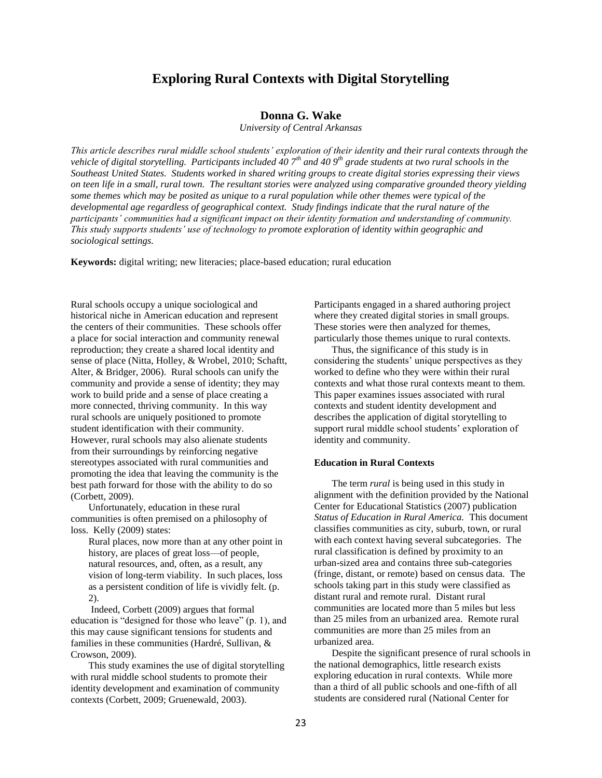## **Exploring Rural Contexts with Digital Storytelling**

## **Donna G. Wake**

*University of Central Arkansas*

*This article describes rural middle school students' exploration of their identity and their rural contexts through the vehicle of digital storytelling. Participants included 40 7th and 40 9th grade students at two rural schools in the Southeast United States. Students worked in shared writing groups to create digital stories expressing their views on teen life in a small, rural town. The resultant stories were analyzed using comparative grounded theory yielding some themes which may be posited as unique to a rural population while other themes were typical of the developmental age regardless of geographical context. Study findings indicate that the rural nature of the participants' communities had a significant impact on their identity formation and understanding of community. This study supports students' use of technology to promote exploration of identity within geographic and sociological settings.*

**Keywords:** digital writing; new literacies; place-based education; rural education

Rural schools occupy a unique sociological and historical niche in American education and represent the centers of their communities. These schools offer a place for social interaction and community renewal reproduction; they create a shared local identity and sense of place (Nitta, Holley, & Wrobel, 2010; Schaftt, Alter, & Bridger, 2006). Rural schools can unify the community and provide a sense of identity; they may work to build pride and a sense of place creating a more connected, thriving community. In this way rural schools are uniquely positioned to promote student identification with their community. However, rural schools may also alienate students from their surroundings by reinforcing negative stereotypes associated with rural communities and promoting the idea that leaving the community is the best path forward for those with the ability to do so (Corbett, 2009).

Unfortunately, education in these rural communities is often premised on a philosophy of loss. Kelly (2009) states:

Rural places, now more than at any other point in history, are places of great loss—of people, natural resources, and, often, as a result, any vision of long-term viability. In such places, loss as a persistent condition of life is vividly felt. (p. 2).

Indeed, Corbett (2009) argues that formal education is "designed for those who leave" (p. 1), and this may cause significant tensions for students and families in these communities (Hardré, Sullivan, & Crowson, 2009).

This study examines the use of digital storytelling with rural middle school students to promote their identity development and examination of community contexts (Corbett, 2009; Gruenewald, 2003).

Participants engaged in a shared authoring project where they created digital stories in small groups. These stories were then analyzed for themes, particularly those themes unique to rural contexts.

Thus, the significance of this study is in considering the students' unique perspectives as they worked to define who they were within their rural contexts and what those rural contexts meant to them. This paper examines issues associated with rural contexts and student identity development and describes the application of digital storytelling to support rural middle school students' exploration of identity and community.

#### **Education in Rural Contexts**

The term *rural* is being used in this study in alignment with the definition provided by the National Center for Educational Statistics (2007) publication *Status of Education in Rural America.* This document classifies communities as city, suburb, town, or rural with each context having several subcategories. The rural classification is defined by proximity to an urban-sized area and contains three sub-categories (fringe, distant, or remote) based on census data. The schools taking part in this study were classified as distant rural and remote rural. Distant rural communities are located more than 5 miles but less than 25 miles from an urbanized area. Remote rural communities are more than 25 miles from an urbanized area.

Despite the significant presence of rural schools in the national demographics, little research exists exploring education in rural contexts. While more than a third of all public schools and one-fifth of all students are considered rural (National Center for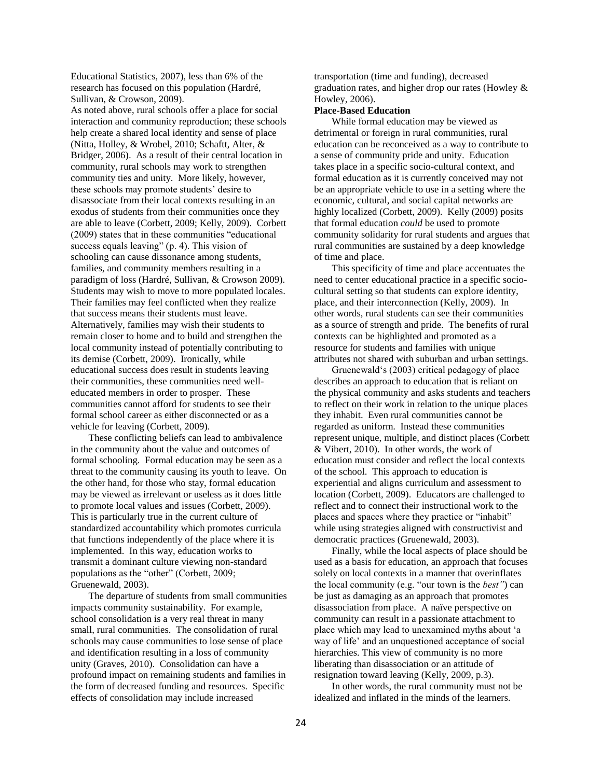Educational Statistics, 2007), less than 6% of the research has focused on this population (Hardré, Sullivan, & Crowson, 2009).

As noted above, rural schools offer a place for social interaction and community reproduction; these schools help create a shared local identity and sense of place (Nitta, Holley, & Wrobel, 2010; Schaftt, Alter, & Bridger, 2006). As a result of their central location in community, rural schools may work to strengthen community ties and unity. More likely, however, these schools may promote students' desire to disassociate from their local contexts resulting in an exodus of students from their communities once they are able to leave (Corbett, 2009; Kelly, 2009). Corbett (2009) states that in these communities "educational success equals leaving" (p. 4). This vision of schooling can cause dissonance among students, families, and community members resulting in a paradigm of loss (Hardré, Sullivan, & Crowson 2009). Students may wish to move to more populated locales. Their families may feel conflicted when they realize that success means their students must leave. Alternatively, families may wish their students to remain closer to home and to build and strengthen the local community instead of potentially contributing to its demise (Corbett, 2009). Ironically, while educational success does result in students leaving their communities, these communities need welleducated members in order to prosper. These communities cannot afford for students to see their formal school career as either disconnected or as a vehicle for leaving (Corbett, 2009).

These conflicting beliefs can lead to ambivalence in the community about the value and outcomes of formal schooling. Formal education may be seen as a threat to the community causing its youth to leave. On the other hand, for those who stay, formal education may be viewed as irrelevant or useless as it does little to promote local values and issues (Corbett, 2009). This is particularly true in the current culture of standardized accountability which promotes curricula that functions independently of the place where it is implemented. In this way, education works to transmit a dominant culture viewing non-standard populations as the "other" (Corbett, 2009; Gruenewald, 2003).

The departure of students from small communities impacts community sustainability. For example, school consolidation is a very real threat in many small, rural communities. The consolidation of rural schools may cause communities to lose sense of place and identification resulting in a loss of community unity (Graves, 2010). Consolidation can have a profound impact on remaining students and families in the form of decreased funding and resources. Specific effects of consolidation may include increased

transportation (time and funding), decreased graduation rates, and higher drop our rates (Howley & Howley, 2006).

#### **Place-Based Education**

While formal education may be viewed as detrimental or foreign in rural communities, rural education can be reconceived as a way to contribute to a sense of community pride and unity. Education takes place in a specific socio-cultural context, and formal education as it is currently conceived may not be an appropriate vehicle to use in a setting where the economic, cultural, and social capital networks are highly localized (Corbett, 2009). Kelly (2009) posits that formal education *could* be used to promote community solidarity for rural students and argues that rural communities are sustained by a deep knowledge of time and place.

This specificity of time and place accentuates the need to center educational practice in a specific sociocultural setting so that students can explore identity, place, and their interconnection (Kelly, 2009). In other words, rural students can see their communities as a source of strength and pride. The benefits of rural contexts can be highlighted and promoted as a resource for students and families with unique attributes not shared with suburban and urban settings.

Gruenewald's (2003) critical pedagogy of place describes an approach to education that is reliant on the physical community and asks students and teachers to reflect on their work in relation to the unique places they inhabit. Even rural communities cannot be regarded as uniform. Instead these communities represent unique, multiple, and distinct places (Corbett & Vibert, 2010). In other words, the work of education must consider and reflect the local contexts of the school. This approach to education is experiential and aligns curriculum and assessment to location (Corbett, 2009). Educators are challenged to reflect and to connect their instructional work to the places and spaces where they practice or "inhabit" while using strategies aligned with constructivist and democratic practices (Gruenewald, 2003).

Finally, while the local aspects of place should be used as a basis for education, an approach that focuses solely on local contexts in a manner that overinflates the local community (e.g. "our town is the *best"*) can be just as damaging as an approach that promotes disassociation from place. A naïve perspective on community can result in a passionate attachment to place which may lead to unexamined myths about 'a way of life' and an unquestioned acceptance of social hierarchies. This view of community is no more liberating than disassociation or an attitude of resignation toward leaving (Kelly, 2009, p.3).

In other words, the rural community must not be idealized and inflated in the minds of the learners.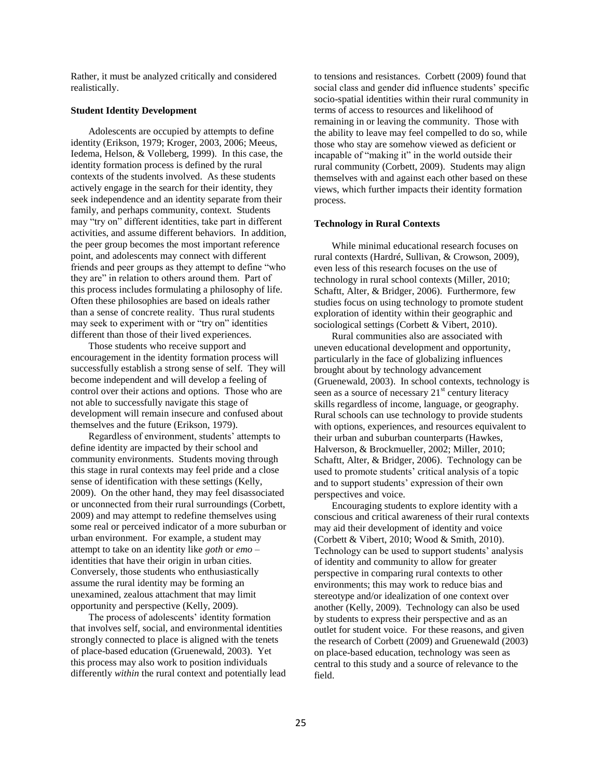Rather, it must be analyzed critically and considered realistically.

#### **Student Identity Development**

Adolescents are occupied by attempts to define identity (Erikson, 1979; Kroger, 2003, 2006; Meeus, Iedema, Helson, & Volleberg, 1999). In this case, the identity formation process is defined by the rural contexts of the students involved. As these students actively engage in the search for their identity, they seek independence and an identity separate from their family, and perhaps community, context. Students may "try on" different identities, take part in different activities, and assume different behaviors. In addition, the peer group becomes the most important reference point, and adolescents may connect with different friends and peer groups as they attempt to define "who they are" in relation to others around them. Part of this process includes formulating a philosophy of life. Often these philosophies are based on ideals rather than a sense of concrete reality. Thus rural students may seek to experiment with or "try on" identities different than those of their lived experiences.

Those students who receive support and encouragement in the identity formation process will successfully establish a strong sense of self. They will become independent and will develop a feeling of control over their actions and options. Those who are not able to successfully navigate this stage of development will remain insecure and confused about themselves and the future (Erikson, 1979).

Regardless of environment, students' attempts to define identity are impacted by their school and community environments. Students moving through this stage in rural contexts may feel pride and a close sense of identification with these settings (Kelly, 2009). On the other hand, they may feel disassociated or unconnected from their rural surroundings (Corbett, 2009) and may attempt to redefine themselves using some real or perceived indicator of a more suburban or urban environment. For example, a student may attempt to take on an identity like *goth* or *emo* – identities that have their origin in urban cities. Conversely, those students who enthusiastically assume the rural identity may be forming an unexamined, zealous attachment that may limit opportunity and perspective (Kelly, 2009).

The process of adolescents' identity formation that involves self, social, and environmental identities strongly connected to place is aligned with the tenets of place-based education (Gruenewald, 2003). Yet this process may also work to position individuals differently *within* the rural context and potentially lead to tensions and resistances. Corbett (2009) found that social class and gender did influence students' specific socio-spatial identities within their rural community in terms of access to resources and likelihood of remaining in or leaving the community. Those with the ability to leave may feel compelled to do so, while those who stay are somehow viewed as deficient or incapable of "making it" in the world outside their rural community (Corbett, 2009). Students may align themselves with and against each other based on these views, which further impacts their identity formation process.

#### **Technology in Rural Contexts**

While minimal educational research focuses on rural contexts (Hardré, Sullivan, & Crowson, 2009), even less of this research focuses on the use of technology in rural school contexts (Miller, 2010; Schaftt, Alter, & Bridger, 2006). Furthermore, few studies focus on using technology to promote student exploration of identity within their geographic and sociological settings (Corbett & Vibert, 2010).

Rural communities also are associated with uneven educational development and opportunity, particularly in the face of globalizing influences brought about by technology advancement (Gruenewald, 2003). In school contexts, technology is seen as a source of necessary  $21<sup>st</sup>$  century literacy skills regardless of income, language, or geography. Rural schools can use technology to provide students with options, experiences, and resources equivalent to their urban and suburban counterparts (Hawkes, Halverson, & Brockmueller, 2002; Miller, 2010; Schaftt, Alter, & Bridger, 2006). Technology can be used to promote students' critical analysis of a topic and to support students' expression of their own perspectives and voice.

Encouraging students to explore identity with a conscious and critical awareness of their rural contexts may aid their development of identity and voice (Corbett & Vibert, 2010; Wood & Smith, 2010). Technology can be used to support students' analysis of identity and community to allow for greater perspective in comparing rural contexts to other environments; this may work to reduce bias and stereotype and/or idealization of one context over another (Kelly, 2009). Technology can also be used by students to express their perspective and as an outlet for student voice. For these reasons, and given the research of Corbett (2009) and Gruenewald (2003) on place-based education, technology was seen as central to this study and a source of relevance to the field.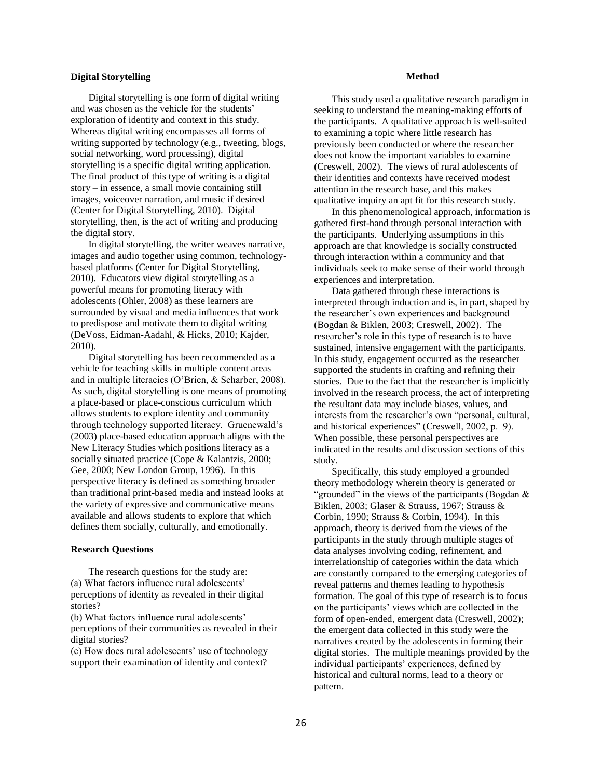## **Digital Storytelling**

Digital storytelling is one form of digital writing and was chosen as the vehicle for the students' exploration of identity and context in this study. Whereas digital writing encompasses all forms of writing supported by technology (e.g., tweeting, blogs, social networking, word processing), digital storytelling is a specific digital writing application. The final product of this type of writing is a digital story – in essence, a small movie containing still images, voiceover narration, and music if desired (Center for Digital Storytelling, 2010). Digital storytelling, then, is the act of writing and producing the digital story.

In digital storytelling, the writer weaves narrative, images and audio together using common, technologybased platforms (Center for Digital Storytelling, 2010). Educators view digital storytelling as a powerful means for promoting literacy with adolescents (Ohler, 2008) as these learners are surrounded by visual and media influences that work to predispose and motivate them to digital writing (DeVoss, Eidman-Aadahl, & Hicks, 2010; Kajder, 2010).

Digital storytelling has been recommended as a vehicle for teaching skills in multiple content areas and in multiple literacies (O'Brien, & Scharber, 2008). As such, digital storytelling is one means of promoting a place-based or place-conscious curriculum which allows students to explore identity and community through technology supported literacy. Gruenewald's (2003) place-based education approach aligns with the New Literacy Studies which positions literacy as a socially situated practice (Cope & Kalantzis, 2000; Gee, 2000; New London Group, 1996). In this perspective literacy is defined as something broader than traditional print-based media and instead looks at the variety of expressive and communicative means available and allows students to explore that which defines them socially, culturally, and emotionally.

#### **Research Questions**

The research questions for the study are: (a) What factors influence rural adolescents' perceptions of identity as revealed in their digital stories?

(b) What factors influence rural adolescents' perceptions of their communities as revealed in their digital stories?

(c) How does rural adolescents' use of technology support their examination of identity and context?

#### **Method**

This study used a qualitative research paradigm in seeking to understand the meaning-making efforts of the participants. A qualitative approach is well-suited to examining a topic where little research has previously been conducted or where the researcher does not know the important variables to examine (Creswell, 2002). The views of rural adolescents of their identities and contexts have received modest attention in the research base, and this makes qualitative inquiry an apt fit for this research study.

In this phenomenological approach, information is gathered first-hand through personal interaction with the participants. Underlying assumptions in this approach are that knowledge is socially constructed through interaction within a community and that individuals seek to make sense of their world through experiences and interpretation.

Data gathered through these interactions is interpreted through induction and is, in part, shaped by the researcher's own experiences and background (Bogdan & Biklen, 2003; Creswell, 2002). The researcher's role in this type of research is to have sustained, intensive engagement with the participants. In this study, engagement occurred as the researcher supported the students in crafting and refining their stories. Due to the fact that the researcher is implicitly involved in the research process, the act of interpreting the resultant data may include biases, values, and interests from the researcher's own "personal, cultural, and historical experiences" (Creswell, 2002, p. 9). When possible, these personal perspectives are indicated in the results and discussion sections of this study.

Specifically, this study employed a grounded theory methodology wherein theory is generated or "grounded" in the views of the participants (Bogdan  $\&$ Biklen, 2003; Glaser & Strauss, 1967; Strauss & Corbin, 1990; Strauss & Corbin, 1994). In this approach, theory is derived from the views of the participants in the study through multiple stages of data analyses involving coding, refinement, and interrelationship of categories within the data which are constantly compared to the emerging categories of reveal patterns and themes leading to hypothesis formation. The goal of this type of research is to focus on the participants' views which are collected in the form of open-ended, emergent data (Creswell, 2002); the emergent data collected in this study were the narratives created by the adolescents in forming their digital stories. The multiple meanings provided by the individual participants' experiences, defined by historical and cultural norms, lead to a theory or pattern.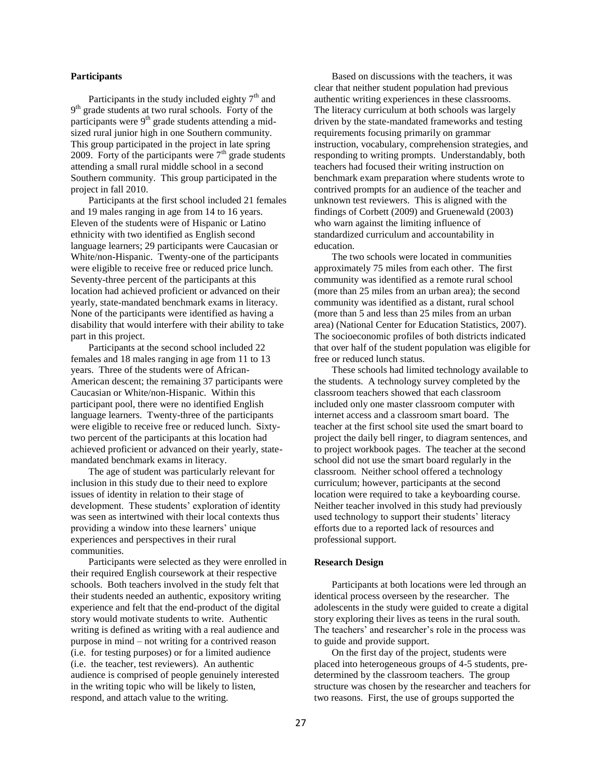## **Participants**

Participants in the study included eighty  $7<sup>th</sup>$  and 9<sup>th</sup> grade students at two rural schools. Forty of the participants were  $9<sup>th</sup>$  grade students attending a midsized rural junior high in one Southern community. This group participated in the project in late spring 2009. Forty of the participants were  $7<sup>th</sup>$  grade students attending a small rural middle school in a second Southern community. This group participated in the project in fall 2010.

Participants at the first school included 21 females and 19 males ranging in age from 14 to 16 years. Eleven of the students were of Hispanic or Latino ethnicity with two identified as English second language learners; 29 participants were Caucasian or White/non-Hispanic. Twenty-one of the participants were eligible to receive free or reduced price lunch. Seventy-three percent of the participants at this location had achieved proficient or advanced on their yearly, state-mandated benchmark exams in literacy. None of the participants were identified as having a disability that would interfere with their ability to take part in this project.

Participants at the second school included 22 females and 18 males ranging in age from 11 to 13 years. Three of the students were of African-American descent; the remaining 37 participants were Caucasian or White/non-Hispanic. Within this participant pool, there were no identified English language learners. Twenty-three of the participants were eligible to receive free or reduced lunch. Sixtytwo percent of the participants at this location had achieved proficient or advanced on their yearly, statemandated benchmark exams in literacy.

The age of student was particularly relevant for inclusion in this study due to their need to explore issues of identity in relation to their stage of development. These students' exploration of identity was seen as intertwined with their local contexts thus providing a window into these learners' unique experiences and perspectives in their rural communities.

Participants were selected as they were enrolled in their required English coursework at their respective schools. Both teachers involved in the study felt that their students needed an authentic, expository writing experience and felt that the end-product of the digital story would motivate students to write. Authentic writing is defined as writing with a real audience and purpose in mind – not writing for a contrived reason (i.e. for testing purposes) or for a limited audience (i.e. the teacher, test reviewers). An authentic audience is comprised of people genuinely interested in the writing topic who will be likely to listen, respond, and attach value to the writing.

Based on discussions with the teachers, it was clear that neither student population had previous authentic writing experiences in these classrooms. The literacy curriculum at both schools was largely driven by the state-mandated frameworks and testing requirements focusing primarily on grammar instruction, vocabulary, comprehension strategies, and responding to writing prompts. Understandably, both teachers had focused their writing instruction on benchmark exam preparation where students wrote to contrived prompts for an audience of the teacher and unknown test reviewers. This is aligned with the findings of Corbett (2009) and Gruenewald (2003) who warn against the limiting influence of standardized curriculum and accountability in education.

The two schools were located in communities approximately 75 miles from each other. The first community was identified as a remote rural school (more than 25 miles from an urban area); the second community was identified as a distant, rural school (more than 5 and less than 25 miles from an urban area) (National Center for Education Statistics, 2007). The socioeconomic profiles of both districts indicated that over half of the student population was eligible for free or reduced lunch status.

These schools had limited technology available to the students. A technology survey completed by the classroom teachers showed that each classroom included only one master classroom computer with internet access and a classroom smart board. The teacher at the first school site used the smart board to project the daily bell ringer, to diagram sentences, and to project workbook pages. The teacher at the second school did not use the smart board regularly in the classroom. Neither school offered a technology curriculum; however, participants at the second location were required to take a keyboarding course. Neither teacher involved in this study had previously used technology to support their students' literacy efforts due to a reported lack of resources and professional support.

#### **Research Design**

Participants at both locations were led through an identical process overseen by the researcher. The adolescents in the study were guided to create a digital story exploring their lives as teens in the rural south. The teachers' and researcher's role in the process was to guide and provide support.

On the first day of the project, students were placed into heterogeneous groups of 4-5 students, predetermined by the classroom teachers. The group structure was chosen by the researcher and teachers for two reasons. First, the use of groups supported the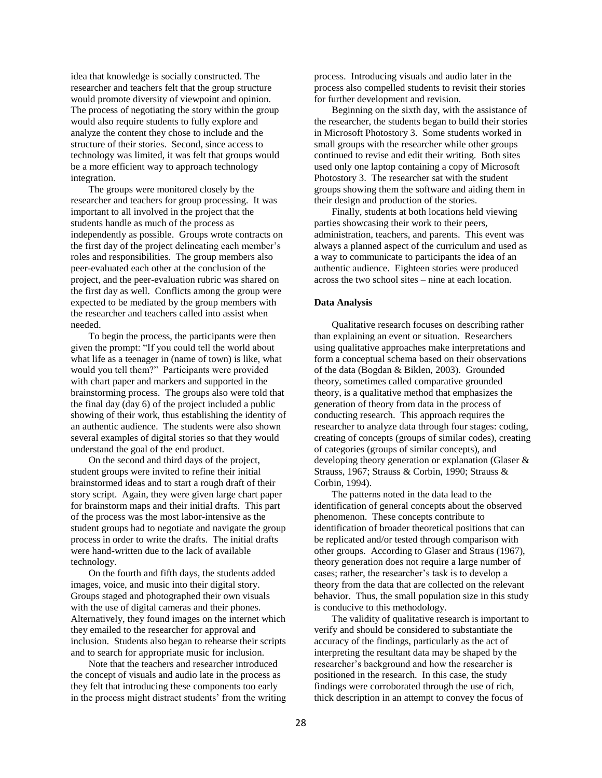idea that knowledge is socially constructed. The researcher and teachers felt that the group structure would promote diversity of viewpoint and opinion. The process of negotiating the story within the group would also require students to fully explore and analyze the content they chose to include and the structure of their stories. Second, since access to technology was limited, it was felt that groups would be a more efficient way to approach technology integration.

The groups were monitored closely by the researcher and teachers for group processing. It was important to all involved in the project that the students handle as much of the process as independently as possible. Groups wrote contracts on the first day of the project delineating each member's roles and responsibilities. The group members also peer-evaluated each other at the conclusion of the project, and the peer-evaluation rubric was shared on the first day as well. Conflicts among the group were expected to be mediated by the group members with the researcher and teachers called into assist when needed.

To begin the process, the participants were then given the prompt: "If you could tell the world about what life as a teenager in (name of town) is like, what would you tell them?" Participants were provided with chart paper and markers and supported in the brainstorming process. The groups also were told that the final day (day 6) of the project included a public showing of their work, thus establishing the identity of an authentic audience. The students were also shown several examples of digital stories so that they would understand the goal of the end product.

On the second and third days of the project, student groups were invited to refine their initial brainstormed ideas and to start a rough draft of their story script. Again, they were given large chart paper for brainstorm maps and their initial drafts. This part of the process was the most labor-intensive as the student groups had to negotiate and navigate the group process in order to write the drafts. The initial drafts were hand-written due to the lack of available technology.

On the fourth and fifth days, the students added images, voice, and music into their digital story. Groups staged and photographed their own visuals with the use of digital cameras and their phones. Alternatively, they found images on the internet which they emailed to the researcher for approval and inclusion. Students also began to rehearse their scripts and to search for appropriate music for inclusion.

Note that the teachers and researcher introduced the concept of visuals and audio late in the process as they felt that introducing these components too early in the process might distract students' from the writing process. Introducing visuals and audio later in the process also compelled students to revisit their stories for further development and revision.

Beginning on the sixth day, with the assistance of the researcher, the students began to build their stories in Microsoft Photostory 3. Some students worked in small groups with the researcher while other groups continued to revise and edit their writing. Both sites used only one laptop containing a copy of Microsoft Photostory 3. The researcher sat with the student groups showing them the software and aiding them in their design and production of the stories.

Finally, students at both locations held viewing parties showcasing their work to their peers, administration, teachers, and parents. This event was always a planned aspect of the curriculum and used as a way to communicate to participants the idea of an authentic audience. Eighteen stories were produced across the two school sites – nine at each location.

#### **Data Analysis**

Qualitative research focuses on describing rather than explaining an event or situation. Researchers using qualitative approaches make interpretations and form a conceptual schema based on their observations of the data (Bogdan & Biklen, 2003). Grounded theory, sometimes called comparative grounded theory, is a qualitative method that emphasizes the generation of theory from data in the process of conducting research. This approach requires the researcher to analyze data through four stages: coding, creating of concepts (groups of similar codes), creating of categories (groups of similar concepts), and developing theory generation or explanation (Glaser & Strauss, 1967; Strauss & Corbin, 1990; Strauss & Corbin, 1994).

The patterns noted in the data lead to the identification of general concepts about the observed phenomenon. These concepts contribute to identification of broader theoretical positions that can be replicated and/or tested through comparison with other groups. According to Glaser and Straus (1967), theory generation does not require a large number of cases; rather, the researcher's task is to develop a theory from the data that are collected on the relevant behavior. Thus, the small population size in this study is conducive to this methodology.

The validity of qualitative research is important to verify and should be considered to substantiate the accuracy of the findings, particularly as the act of interpreting the resultant data may be shaped by the researcher's background and how the researcher is positioned in the research. In this case, the study findings were corroborated through the use of rich, thick description in an attempt to convey the focus of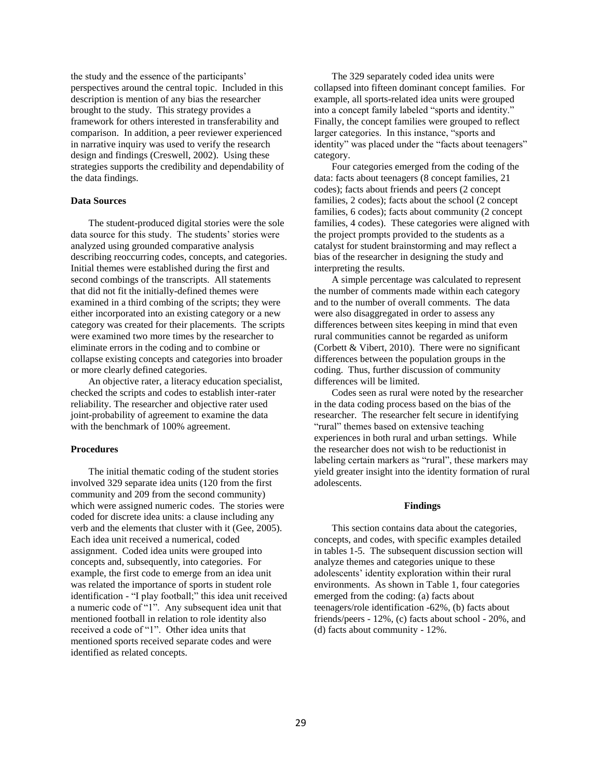the study and the essence of the participants' perspectives around the central topic. Included in this description is mention of any bias the researcher brought to the study. This strategy provides a framework for others interested in transferability and comparison. In addition, a peer reviewer experienced in narrative inquiry was used to verify the research design and findings (Creswell, 2002). Using these strategies supports the credibility and dependability of the data findings.

## **Data Sources**

The student-produced digital stories were the sole data source for this study. The students' stories were analyzed using grounded comparative analysis describing reoccurring codes, concepts, and categories. Initial themes were established during the first and second combings of the transcripts. All statements that did not fit the initially-defined themes were examined in a third combing of the scripts; they were either incorporated into an existing category or a new category was created for their placements. The scripts were examined two more times by the researcher to eliminate errors in the coding and to combine or collapse existing concepts and categories into broader or more clearly defined categories.

An objective rater, a literacy education specialist, checked the scripts and codes to establish inter-rater reliability. The researcher and objective rater used joint-probability of agreement to examine the data with the benchmark of 100% agreement.

#### **Procedures**

The initial thematic coding of the student stories involved 329 separate idea units (120 from the first community and 209 from the second community) which were assigned numeric codes. The stories were coded for discrete idea units: a clause including any verb and the elements that cluster with it (Gee, 2005). Each idea unit received a numerical, coded assignment. Coded idea units were grouped into concepts and, subsequently, into categories. For example, the first code to emerge from an idea unit was related the importance of sports in student role identification - "I play football;" this idea unit received a numeric code of "1". Any subsequent idea unit that mentioned football in relation to role identity also received a code of "1". Other idea units that mentioned sports received separate codes and were identified as related concepts.

The 329 separately coded idea units were collapsed into fifteen dominant concept families. For example, all sports-related idea units were grouped into a concept family labeled "sports and identity." Finally, the concept families were grouped to reflect larger categories. In this instance, "sports and identity" was placed under the "facts about teenagers" category.

Four categories emerged from the coding of the data: facts about teenagers (8 concept families, 21 codes); facts about friends and peers (2 concept families, 2 codes); facts about the school (2 concept families, 6 codes); facts about community (2 concept families, 4 codes). These categories were aligned with the project prompts provided to the students as a catalyst for student brainstorming and may reflect a bias of the researcher in designing the study and interpreting the results.

A simple percentage was calculated to represent the number of comments made within each category and to the number of overall comments. The data were also disaggregated in order to assess any differences between sites keeping in mind that even rural communities cannot be regarded as uniform (Corbett & Vibert, 2010). There were no significant differences between the population groups in the coding. Thus, further discussion of community differences will be limited.

Codes seen as rural were noted by the researcher in the data coding process based on the bias of the researcher. The researcher felt secure in identifying "rural" themes based on extensive teaching experiences in both rural and urban settings. While the researcher does not wish to be reductionist in labeling certain markers as "rural", these markers may yield greater insight into the identity formation of rural adolescents.

#### **Findings**

This section contains data about the categories, concepts, and codes, with specific examples detailed in tables 1-5. The subsequent discussion section will analyze themes and categories unique to these adolescents' identity exploration within their rural environments. As shown in Table 1, four categories emerged from the coding: (a) facts about teenagers/role identification -62%, (b) facts about friends/peers - 12%, (c) facts about school - 20%, and (d) facts about community - 12%.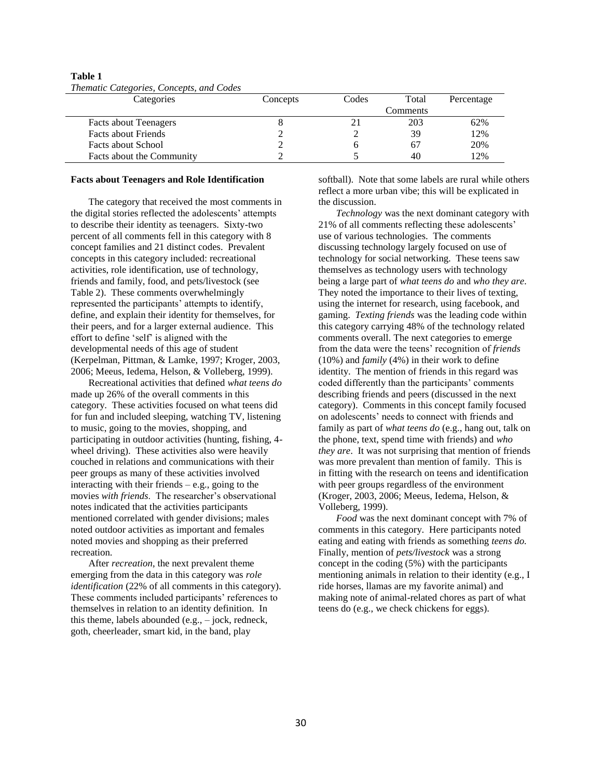| Categories                   | Concepts | Codes | Total    | Percentage |
|------------------------------|----------|-------|----------|------------|
|                              |          |       | Comments |            |
| <b>Facts about Teenagers</b> |          |       | 203      | 62%        |
| <b>Facts about Friends</b>   |          |       | 39       | 12%        |
| <b>Facts about School</b>    |          |       | 67       | 20%        |
| Facts about the Community    |          |       | 40       | 12%        |

**Table 1** *Thematic Categories, Concepts, and Codes*

#### **Facts about Teenagers and Role Identification**

The category that received the most comments in the digital stories reflected the adolescents' attempts to describe their identity as teenagers. Sixty-two percent of all comments fell in this category with 8 concept families and 21 distinct codes. Prevalent concepts in this category included: recreational activities, role identification, use of technology, friends and family, food, and pets/livestock (see Table 2). These comments overwhelmingly represented the participants' attempts to identify, define, and explain their identity for themselves, for their peers, and for a larger external audience. This effort to define 'self' is aligned with the developmental needs of this age of student (Kerpelman, Pittman, & Lamke, 1997; Kroger, 2003, 2006; Meeus, Iedema, Helson, & Volleberg, 1999).

Recreational activities that defined *what teens do* made up 26% of the overall comments in this category. These activities focused on what teens did for fun and included sleeping, watching TV, listening to music, going to the movies, shopping, and participating in outdoor activities (hunting, fishing, 4 wheel driving). These activities also were heavily couched in relations and communications with their peer groups as many of these activities involved interacting with their friends  $-$  e.g., going to the movies *with friends*. The researcher's observational notes indicated that the activities participants mentioned correlated with gender divisions; males noted outdoor activities as important and females noted movies and shopping as their preferred recreation.

After *recreation*, the next prevalent theme emerging from the data in this category was *role identification* (22% of all comments in this category). These comments included participants' references to themselves in relation to an identity definition. In this theme, labels abounded (e.g., – jock, redneck, goth, cheerleader, smart kid, in the band, play

softball). Note that some labels are rural while others reflect a more urban vibe; this will be explicated in the discussion.

*Technology* was the next dominant category with 21% of all comments reflecting these adolescents' use of various technologies. The comments discussing technology largely focused on use of technology for social networking. These teens saw themselves as technology users with technology being a large part of *what teens do* and *who they are*. They noted the importance to their lives of texting, using the internet for research, using facebook, and gaming. *Texting friends* was the leading code within this category carrying 48% of the technology related comments overall. The next categories to emerge from the data were the teens' recognition of *friends* (10%) and *family* (4%) in their work to define identity. The mention of friends in this regard was coded differently than the participants' comments describing friends and peers (discussed in the next category). Comments in this concept family focused on adolescents' needs to connect with friends and family as part of *what teens do* (e.g., hang out, talk on the phone, text, spend time with friends) and *who they are*. It was not surprising that mention of friends was more prevalent than mention of family. This is in fitting with the research on teens and identification with peer groups regardless of the environment (Kroger, 2003, 2006; Meeus, Iedema, Helson, & Volleberg, 1999).

*Food* was the next dominant concept with 7% of comments in this category. Here participants noted eating and eating with friends as something *teens do.*  Finally, mention of *pets/livestock* was a strong concept in the coding (5%) with the participants mentioning animals in relation to their identity (e.g., I ride horses, llamas are my favorite animal) and making note of animal-related chores as part of what teens do (e.g., we check chickens for eggs).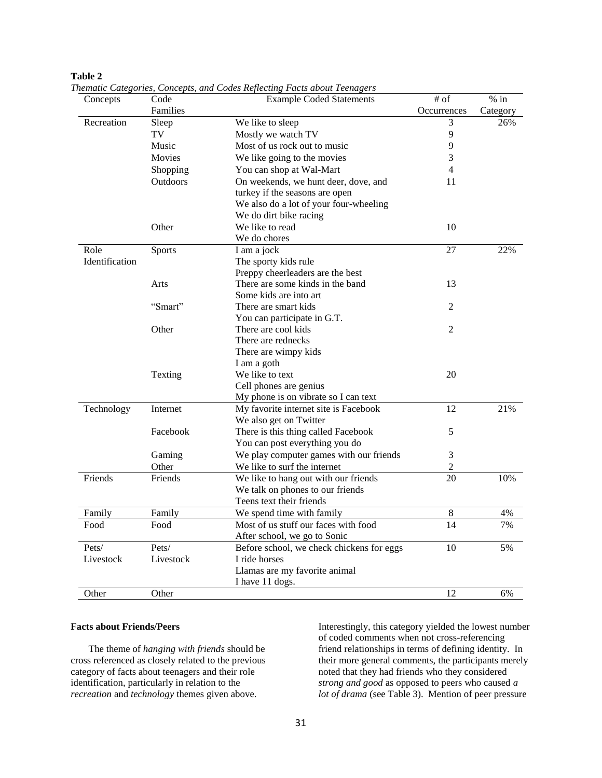| Concepts       | $mweve$ calleger less, correct<br>Code | codes nejvechniz 1 dens docht 1 cenazers<br><b>Example Coded Statements</b> | $#$ of         | $%$ in   |
|----------------|----------------------------------------|-----------------------------------------------------------------------------|----------------|----------|
|                | Families                               |                                                                             | Occurrences    | Category |
| Recreation     | Sleep                                  | We like to sleep                                                            | 3              | 26%      |
|                | TV                                     | Mostly we watch TV                                                          | 9              |          |
|                | Music                                  | Most of us rock out to music                                                | 9              |          |
|                | Movies                                 | We like going to the movies                                                 | 3              |          |
|                | Shopping                               | You can shop at Wal-Mart                                                    | 4              |          |
|                | Outdoors                               | On weekends, we hunt deer, dove, and                                        | 11             |          |
|                |                                        | turkey if the seasons are open                                              |                |          |
|                |                                        | We also do a lot of your four-wheeling                                      |                |          |
|                |                                        | We do dirt bike racing                                                      |                |          |
|                | Other                                  | We like to read                                                             | 10             |          |
|                |                                        | We do chores                                                                |                |          |
| Role           | Sports                                 | I am a jock                                                                 | 27             | 22%      |
| Identification |                                        | The sporty kids rule                                                        |                |          |
|                |                                        | Preppy cheerleaders are the best                                            |                |          |
|                | Arts                                   | There are some kinds in the band                                            | 13             |          |
|                |                                        | Some kids are into art                                                      |                |          |
|                | "Smart"                                | There are smart kids                                                        | 2              |          |
|                |                                        | You can participate in G.T.                                                 |                |          |
|                | Other                                  | There are cool kids                                                         | $\overline{2}$ |          |
|                |                                        | There are rednecks                                                          |                |          |
|                |                                        | There are wimpy kids                                                        |                |          |
|                |                                        | I am a goth                                                                 |                |          |
|                | Texting                                | We like to text                                                             | 20             |          |
|                |                                        | Cell phones are genius                                                      |                |          |
|                |                                        | My phone is on vibrate so I can text                                        |                |          |
| Technology     | Internet                               | My favorite internet site is Facebook                                       | 12             | 21%      |
|                |                                        | We also get on Twitter                                                      |                |          |
|                | Facebook                               | There is this thing called Facebook                                         | 5              |          |
|                |                                        | You can post everything you do                                              |                |          |
|                | Gaming                                 | We play computer games with our friends                                     | 3              |          |
|                | Other                                  | We like to surf the internet                                                | $\overline{c}$ |          |
| Friends        | Friends                                | We like to hang out with our friends                                        | 20             | 10%      |
|                |                                        | We talk on phones to our friends                                            |                |          |
|                |                                        | Teens text their friends                                                    |                |          |
| Family         | Family                                 | We spend time with family                                                   | $8\,$          | 4%       |
| Food           | Food                                   | Most of us stuff our faces with food                                        | 14             | 7%       |
|                |                                        | After school, we go to Sonic                                                |                |          |
| Pets/          | Pets/                                  | Before school, we check chickens for eggs                                   | 10             | 5%       |
| Livestock      | Livestock                              | I ride horses                                                               |                |          |
|                |                                        | Llamas are my favorite animal                                               |                |          |
|                |                                        | I have 11 dogs.                                                             |                |          |
| Other          | Other                                  |                                                                             | 12             | 6%       |

**Table 2** 

*Thematic Categories, Concepts, and Codes Reflecting Facts about Teenagers* 

## **Facts about Friends/Peers**

The theme of *hanging with friends* should be cross referenced as closely related to the previous category of facts about teenagers and their role identification, particularly in relation to the *recreation* and *technology* themes given above.

Interestingly, this category yielded the lowest number of coded comments when not cross-referencing friend relationships in terms of defining identity. In their more general comments, the participants merely noted that they had friends who they considered *strong and good* as opposed to peers who caused *a lot of drama* (see Table 3). Mention of peer pressure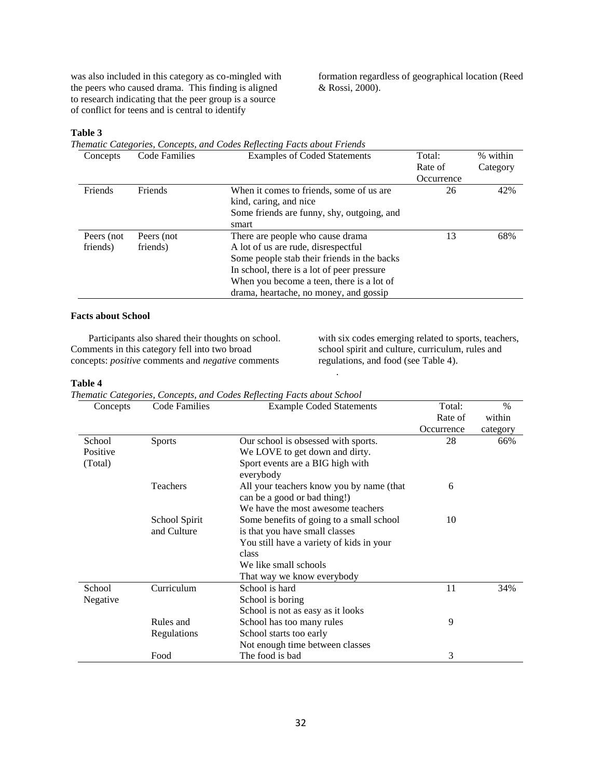was also included in this category as co-mingled with the peers who caused drama. This finding is aligned to research indicating that the peer group is a source of conflict for teens and is central to identify

formation regardless of geographical location (Reed & Rossi, 2000).

# **Table 3**

|                                  |            | Thematic Categories, Concepts, and Codes Reflecting Facts about Friends |            |          |
|----------------------------------|------------|-------------------------------------------------------------------------|------------|----------|
| <b>Code Families</b><br>Concepts |            | <b>Examples of Coded Statements</b>                                     | Total:     | % within |
|                                  |            |                                                                         | Rate of    | Category |
|                                  |            |                                                                         | Occurrence |          |
| Friends                          | Friends    | When it comes to friends, some of us are.                               | 26         | 42%      |
|                                  |            | kind, caring, and nice                                                  |            |          |
|                                  |            | Some friends are funny, shy, outgoing, and                              |            |          |
|                                  |            | smart                                                                   |            |          |
| Peers (not                       | Peers (not | There are people who cause drama                                        | 13         | 68%      |
| friends)                         | friends)   | A lot of us are rude, disrespectful                                     |            |          |
|                                  |            | Some people stab their friends in the backs                             |            |          |
|                                  |            | In school, there is a lot of peer pressure                              |            |          |
|                                  |            | When you become a teen, there is a lot of                               |            |          |
|                                  |            | drama, heartache, no money, and gossip                                  |            |          |

.

## **Facts about School**

Participants also shared their thoughts on school. Comments in this category fell into two broad concepts: *positive* comments and *negative* comments

with six codes emerging related to sports, teachers, school spirit and culture, curriculum, rules and regulations, and food (see Table 4).

## **Table 4**

|  |  | Thematic Categories, Concepts, and Codes Reflecting Facts about School |  |
|--|--|------------------------------------------------------------------------|--|
|  |  |                                                                        |  |

| Concepts | Code Families | <b>Example Coded Statements</b>                                          | Total:     | $\%$     |
|----------|---------------|--------------------------------------------------------------------------|------------|----------|
|          |               |                                                                          | Rate of    | within   |
|          |               |                                                                          | Occurrence | category |
| School   | <b>Sports</b> | Our school is obsessed with sports.                                      | 28         | 66%      |
| Positive |               | We LOVE to get down and dirty.                                           |            |          |
| (Total)  |               | Sport events are a BIG high with<br>everybody                            |            |          |
|          | Teachers      | All your teachers know you by name (that<br>can be a good or bad thing!) | 6          |          |
|          |               | We have the most awesome teachers                                        |            |          |
|          | School Spirit | Some benefits of going to a small school                                 | 10         |          |
|          | and Culture   | is that you have small classes                                           |            |          |
|          |               | You still have a variety of kids in your                                 |            |          |
|          |               | class                                                                    |            |          |
|          |               | We like small schools                                                    |            |          |
|          |               | That way we know everybody                                               |            |          |
| School   | Curriculum    | School is hard                                                           | 11         | 34%      |
| Negative |               | School is boring                                                         |            |          |
|          |               | School is not as easy as it looks                                        |            |          |
|          | Rules and     | School has too many rules                                                | 9          |          |
|          | Regulations   | School starts too early                                                  |            |          |
|          |               | Not enough time between classes                                          |            |          |
|          | Food          | The food is bad                                                          | 3          |          |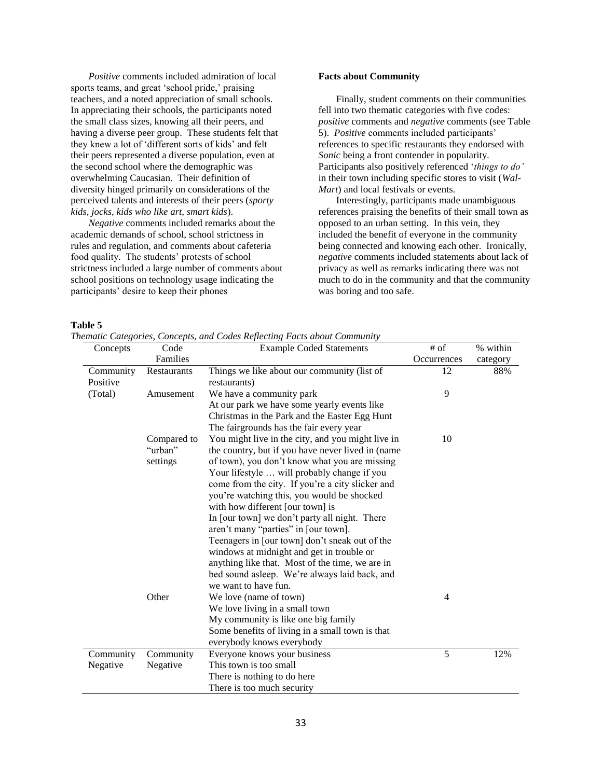*Positive* comments included admiration of local sports teams, and great 'school pride,' praising teachers, and a noted appreciation of small schools. In appreciating their schools, the participants noted the small class sizes, knowing all their peers, and having a diverse peer group. These students felt that they knew a lot of 'different sorts of kids' and felt their peers represented a diverse population, even at the second school where the demographic was overwhelming Caucasian. Their definition of diversity hinged primarily on considerations of the perceived talents and interests of their peers (*sporty kids, jocks, kids who like art, smart kids*).

*Negative* comments included remarks about the academic demands of school, school strictness in rules and regulation, and comments about cafeteria food quality. The students' protests of school strictness included a large number of comments about school positions on technology usage indicating the participants' desire to keep their phones

#### **Facts about Community**

Finally, student comments on their communities fell into two thematic categories with five codes: *positive* comments and *negative* comments (see Table 5). *Positive* comments included participants' references to specific restaurants they endorsed with *Sonic* being a front contender in popularity. Participants also positively referenced '*things to do'* in their town including specific stores to visit (*Wal-Mart*) and local festivals or events.

Interestingly, participants made unambiguous references praising the benefits of their small town as opposed to an urban setting. In this vein, they included the benefit of everyone in the community being connected and knowing each other. Ironically, *negative* comments included statements about lack of privacy as well as remarks indicating there was not much to do in the community and that the community was boring and too safe.

## **Table 5**

*Thematic Categories, Concepts, and Codes Reflecting Facts about Community* 

| Concepts  | Code        | <b>Example Coded Statements</b>                   | $\#$ of     | % within |
|-----------|-------------|---------------------------------------------------|-------------|----------|
|           | Families    |                                                   | Occurrences | category |
| Community | Restaurants | Things we like about our community (list of       | 12          | 88%      |
| Positive  |             | restaurants)                                      |             |          |
| (Total)   | Amusement   | We have a community park                          | 9           |          |
|           |             | At our park we have some yearly events like       |             |          |
|           |             | Christmas in the Park and the Easter Egg Hunt     |             |          |
|           |             | The fairgrounds has the fair every year           |             |          |
|           | Compared to | You might live in the city, and you might live in | 10          |          |
|           | "urban"     | the country, but if you have never lived in (name |             |          |
|           | settings    | of town), you don't know what you are missing     |             |          |
|           |             | Your lifestyle  will probably change if you       |             |          |
|           |             | come from the city. If you're a city slicker and  |             |          |
|           |             | you're watching this, you would be shocked        |             |          |
|           |             | with how different [our town] is                  |             |          |
|           |             | In [our town] we don't party all night. There     |             |          |
|           |             | aren't many "parties" in [our town].              |             |          |
|           |             | Teenagers in [our town] don't sneak out of the    |             |          |
|           |             | windows at midnight and get in trouble or         |             |          |
|           |             | anything like that. Most of the time, we are in   |             |          |
|           |             | bed sound asleep. We're always laid back, and     |             |          |
|           |             | we want to have fun.                              |             |          |
|           | Other       | We love (name of town)                            | 4           |          |
|           |             | We love living in a small town                    |             |          |
|           |             | My community is like one big family               |             |          |
|           |             | Some benefits of living in a small town is that   |             |          |
|           |             | everybody knows everybody                         |             |          |
| Community | Community   | Everyone knows your business                      | 5           | 12%      |
| Negative  | Negative    | This town is too small                            |             |          |
|           |             | There is nothing to do here                       |             |          |
|           |             | There is too much security                        |             |          |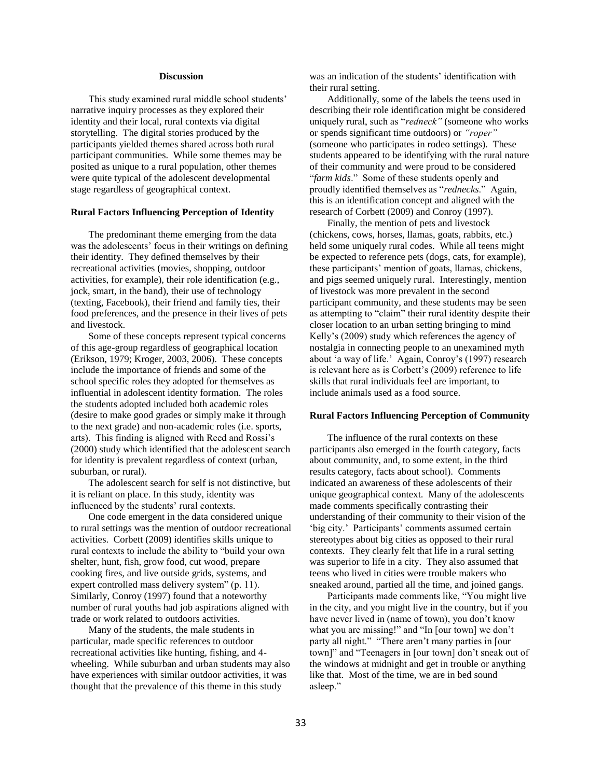## **Discussion**

This study examined rural middle school students' narrative inquiry processes as they explored their identity and their local, rural contexts via digital storytelling. The digital stories produced by the participants yielded themes shared across both rural participant communities. While some themes may be posited as unique to a rural population, other themes were quite typical of the adolescent developmental stage regardless of geographical context.

#### **Rural Factors Influencing Perception of Identity**

The predominant theme emerging from the data was the adolescents' focus in their writings on defining their identity. They defined themselves by their recreational activities (movies, shopping, outdoor activities, for example), their role identification (e.g., jock, smart, in the band), their use of technology (texting, Facebook), their friend and family ties, their food preferences, and the presence in their lives of pets and livestock.

Some of these concepts represent typical concerns of this age-group regardless of geographical location (Erikson, 1979; Kroger, 2003, 2006). These concepts include the importance of friends and some of the school specific roles they adopted for themselves as influential in adolescent identity formation. The roles the students adopted included both academic roles (desire to make good grades or simply make it through to the next grade) and non-academic roles (i.e. sports, arts). This finding is aligned with Reed and Rossi's (2000) study which identified that the adolescent search for identity is prevalent regardless of context (urban, suburban, or rural).

The adolescent search for self is not distinctive, but it is reliant on place. In this study, identity was influenced by the students' rural contexts.

One code emergent in the data considered unique to rural settings was the mention of outdoor recreational activities. Corbett (2009) identifies skills unique to rural contexts to include the ability to "build your own shelter, hunt, fish, grow food, cut wood, prepare cooking fires, and live outside grids, systems, and expert controlled mass delivery system" (p. 11). Similarly, Conroy (1997) found that a noteworthy number of rural youths had job aspirations aligned with trade or work related to outdoors activities.

Many of the students, the male students in particular, made specific references to outdoor recreational activities like hunting, fishing, and 4 wheeling. While suburban and urban students may also have experiences with similar outdoor activities, it was thought that the prevalence of this theme in this study

was an indication of the students' identification with their rural setting.

Additionally, some of the labels the teens used in describing their role identification might be considered uniquely rural, such as "*redneck"* (someone who works or spends significant time outdoors) or *"roper"* (someone who participates in rodeo settings). These students appeared to be identifying with the rural nature of their community and were proud to be considered "*farm kids*." Some of these students openly and proudly identified themselves as "*rednecks*." Again, this is an identification concept and aligned with the research of Corbett (2009) and Conroy (1997).

Finally, the mention of pets and livestock (chickens, cows, horses, llamas, goats, rabbits, etc.) held some uniquely rural codes. While all teens might be expected to reference pets (dogs, cats, for example), these participants' mention of goats, llamas, chickens, and pigs seemed uniquely rural. Interestingly, mention of livestock was more prevalent in the second participant community, and these students may be seen as attempting to "claim" their rural identity despite their closer location to an urban setting bringing to mind Kelly's (2009) study which references the agency of nostalgia in connecting people to an unexamined myth about 'a way of life.' Again, Conroy's (1997) research is relevant here as is Corbett's (2009) reference to life skills that rural individuals feel are important, to include animals used as a food source.

## **Rural Factors Influencing Perception of Community**

The influence of the rural contexts on these participants also emerged in the fourth category, facts about community, and, to some extent, in the third results category, facts about school). Comments indicated an awareness of these adolescents of their unique geographical context. Many of the adolescents made comments specifically contrasting their understanding of their community to their vision of the 'big city.' Participants' comments assumed certain stereotypes about big cities as opposed to their rural contexts. They clearly felt that life in a rural setting was superior to life in a city. They also assumed that teens who lived in cities were trouble makers who sneaked around, partied all the time, and joined gangs.

Participants made comments like, "You might live in the city, and you might live in the country, but if you have never lived in (name of town), you don't know what you are missing!" and "In [our town] we don't party all night." "There aren't many parties in [our town]" and "Teenagers in [our town] don't sneak out of the windows at midnight and get in trouble or anything like that. Most of the time, we are in bed sound asleep."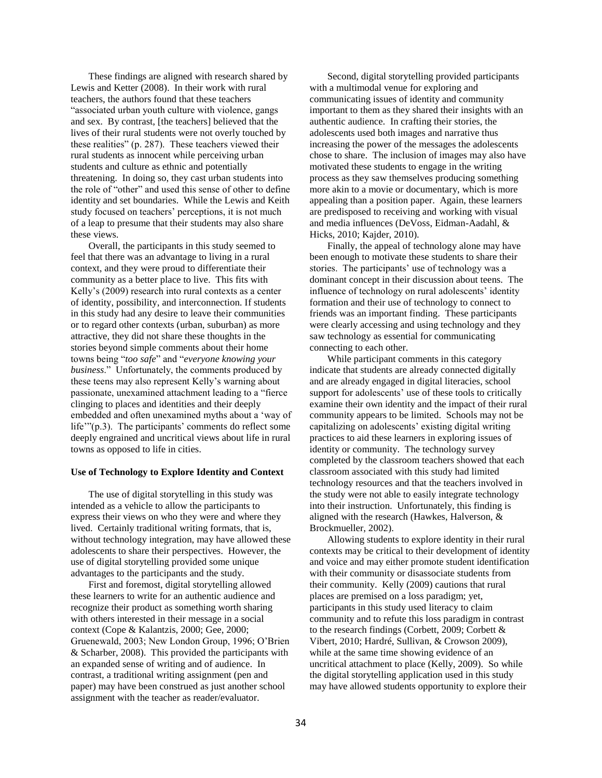These findings are aligned with research shared by Lewis and Ketter (2008). In their work with rural teachers, the authors found that these teachers "associated urban youth culture with violence, gangs and sex. By contrast, [the teachers] believed that the lives of their rural students were not overly touched by these realities" (p. 287). These teachers viewed their rural students as innocent while perceiving urban students and culture as ethnic and potentially threatening. In doing so, they cast urban students into the role of "other" and used this sense of other to define identity and set boundaries. While the Lewis and Keith study focused on teachers' perceptions, it is not much of a leap to presume that their students may also share these views.

Overall, the participants in this study seemed to feel that there was an advantage to living in a rural context, and they were proud to differentiate their community as a better place to live. This fits with Kelly's (2009) research into rural contexts as a center of identity, possibility, and interconnection. If students in this study had any desire to leave their communities or to regard other contexts (urban, suburban) as more attractive, they did not share these thoughts in the stories beyond simple comments about their home towns being "*too safe*" and "*everyone knowing your business*." Unfortunately, the comments produced by these teens may also represent Kelly's warning about passionate, unexamined attachment leading to a "fierce clinging to places and identities and their deeply embedded and often unexamined myths about a 'way of life'"(p.3). The participants' comments do reflect some deeply engrained and uncritical views about life in rural towns as opposed to life in cities.

#### **Use of Technology to Explore Identity and Context**

The use of digital storytelling in this study was intended as a vehicle to allow the participants to express their views on who they were and where they lived. Certainly traditional writing formats, that is, without technology integration, may have allowed these adolescents to share their perspectives. However, the use of digital storytelling provided some unique advantages to the participants and the study.

First and foremost, digital storytelling allowed these learners to write for an authentic audience and recognize their product as something worth sharing with others interested in their message in a social context (Cope & Kalantzis, 2000; Gee, 2000; Gruenewald, 2003; New London Group, 1996; O'Brien & Scharber, 2008). This provided the participants with an expanded sense of writing and of audience. In contrast, a traditional writing assignment (pen and paper) may have been construed as just another school assignment with the teacher as reader/evaluator.

Second, digital storytelling provided participants with a multimodal venue for exploring and communicating issues of identity and community important to them as they shared their insights with an authentic audience. In crafting their stories, the adolescents used both images and narrative thus increasing the power of the messages the adolescents chose to share. The inclusion of images may also have motivated these students to engage in the writing process as they saw themselves producing something more akin to a movie or documentary, which is more appealing than a position paper. Again, these learners are predisposed to receiving and working with visual and media influences (DeVoss, Eidman-Aadahl, & Hicks, 2010; Kajder, 2010).

Finally, the appeal of technology alone may have been enough to motivate these students to share their stories. The participants' use of technology was a dominant concept in their discussion about teens. The influence of technology on rural adolescents' identity formation and their use of technology to connect to friends was an important finding. These participants were clearly accessing and using technology and they saw technology as essential for communicating connecting to each other.

While participant comments in this category indicate that students are already connected digitally and are already engaged in digital literacies, school support for adolescents' use of these tools to critically examine their own identity and the impact of their rural community appears to be limited. Schools may not be capitalizing on adolescents' existing digital writing practices to aid these learners in exploring issues of identity or community. The technology survey completed by the classroom teachers showed that each classroom associated with this study had limited technology resources and that the teachers involved in the study were not able to easily integrate technology into their instruction. Unfortunately, this finding is aligned with the research (Hawkes, Halverson, & Brockmueller, 2002).

Allowing students to explore identity in their rural contexts may be critical to their development of identity and voice and may either promote student identification with their community or disassociate students from their community. Kelly (2009) cautions that rural places are premised on a loss paradigm; yet, participants in this study used literacy to claim community and to refute this loss paradigm in contrast to the research findings (Corbett, 2009; Corbett & Vibert, 2010; Hardré, Sullivan, & Crowson 2009), while at the same time showing evidence of an uncritical attachment to place (Kelly, 2009). So while the digital storytelling application used in this study may have allowed students opportunity to explore their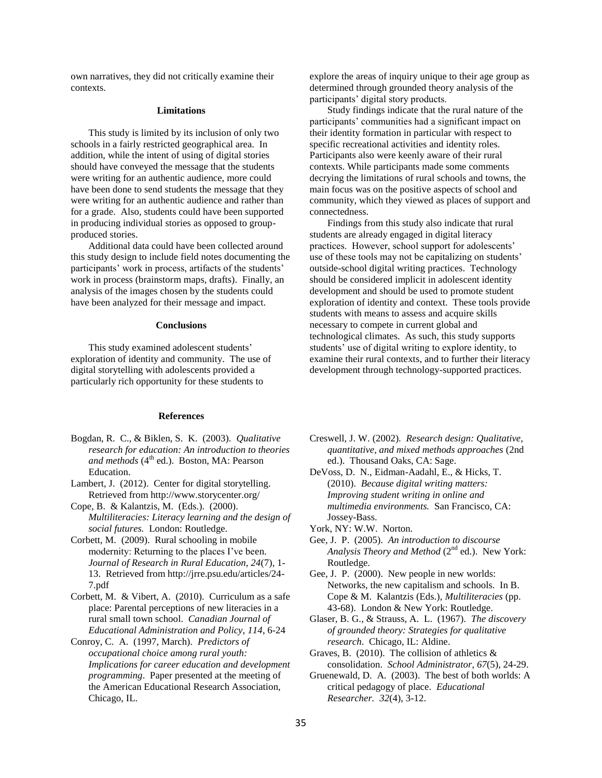own narratives, they did not critically examine their contexts.

#### **Limitations**

This study is limited by its inclusion of only two schools in a fairly restricted geographical area. In addition, while the intent of using of digital stories should have conveyed the message that the students were writing for an authentic audience, more could have been done to send students the message that they were writing for an authentic audience and rather than for a grade. Also, students could have been supported in producing individual stories as opposed to groupproduced stories.

Additional data could have been collected around this study design to include field notes documenting the participants' work in process, artifacts of the students' work in process (brainstorm maps, drafts). Finally, an analysis of the images chosen by the students could have been analyzed for their message and impact.

## **Conclusions**

This study examined adolescent students' exploration of identity and community. The use of digital storytelling with adolescents provided a particularly rich opportunity for these students to

## **References**

- Bogdan, R. C., & Biklen, S. K. (2003). *Qualitative research for education: An introduction to theories and methods* (4<sup>th</sup> ed.). Boston, MA: Pearson Education.
- Lambert, J. (2012). Center for digital storytelling. Retrieved from http://www.storycenter.org/
- Cope, B. & Kalantzis, M. (Eds.). (2000). *Multiliteracies: Literacy learning and the design of social futures.* London: Routledge.
- Corbett, M. (2009). Rural schooling in mobile modernity: Returning to the places I've been. *Journal of Research in Rural Education, 24*(7), 1- 13. Retrieved from http://jrre.psu.edu/articles/24- 7.pdf
- Corbett, M. & Vibert, A. (2010). Curriculum as a safe place: Parental perceptions of new literacies in a rural small town school. *Canadian Journal of Educational Administration and Policy, 114*, 6-24
- Conroy, C. A. (1997, March). *Predictors of occupational choice among rural youth: Implications for career education and development programming*. Paper presented at the meeting of the American Educational Research Association, Chicago, IL.

explore the areas of inquiry unique to their age group as determined through grounded theory analysis of the participants' digital story products.

Study findings indicate that the rural nature of the participants' communities had a significant impact on their identity formation in particular with respect to specific recreational activities and identity roles. Participants also were keenly aware of their rural contexts. While participants made some comments decrying the limitations of rural schools and towns, the main focus was on the positive aspects of school and community, which they viewed as places of support and connectedness.

Findings from this study also indicate that rural students are already engaged in digital literacy practices. However, school support for adolescents' use of these tools may not be capitalizing on students' outside-school digital writing practices. Technology should be considered implicit in adolescent identity development and should be used to promote student exploration of identity and context. These tools provide students with means to assess and acquire skills necessary to compete in current global and technological climates. As such, this study supports students' use of digital writing to explore identity, to examine their rural contexts, and to further their literacy development through technology-supported practices.

- Creswell, J. W. (2002). *Research design: Qualitative, quantitative, and mixed methods approaches* (2nd ed.). Thousand Oaks, CA: Sage.
- DeVoss, D. N., Eidman-Aadahl, E., & Hicks, T. (2010). *Because digital writing matters: Improving student writing in online and multimedia environments.* San Francisco, CA: Jossey-Bass.
- York, NY: W.W. Norton.
- Gee, J. P. (2005). *An introduction to discourse*  Analysis Theory and Method (2<sup>nd</sup> ed.). New York: Routledge.
- Gee, J. P. (2000). New people in new worlds: Networks, the new capitalism and schools. In B. Cope & M. Kalantzis (Eds.), *Multiliteracies* (pp. 43-68). London & New York: Routledge.
- Glaser, B. G., & Strauss, A. L. (1967). *The discovery of grounded theory: Strategies for qualitative research*. Chicago, IL: Aldine.
- Graves, B. (2010). The collision of athletics  $\&$ consolidation. *School Administrator*, *67*(5), 24-29.
- Gruenewald, D. A. (2003). The best of both worlds: A critical pedagogy of place. *Educational Researcher. 32*(4), 3-12.